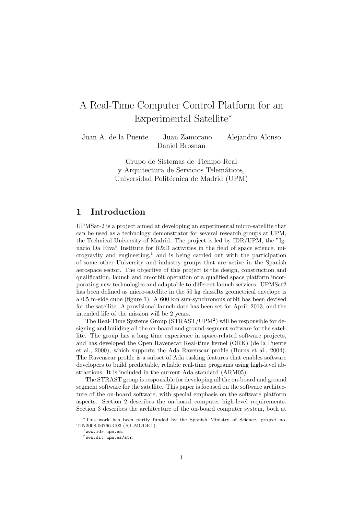# A Real-Time Computer Control Platform for an Experimental Satellite<sup>∗</sup>

Juan A. de la Puente Juan Zamorano Alejandro Alonso Daniel Brosnan

> Grupo de Sistemas de Tiempo Real y Arquitectura de Servicios Telemáticos, Universidad Politécnica de Madrid (UPM)

## 1 Introduction

UPMSat-2 is a project aimed at developing an experimental micro-satellite that can be used as a technology demonstrator for several research groups at UPM, the Technical University of Madrid. The project is led by IDR/UPM, the "Ignacio Da Riva" Institute for R&D activities in the field of space science, microgravity and engineering,<sup>1</sup> and is being carried out with the participation of some other University and industry groups that are active in the Spanish aerospace sector. The objective of this project is the design, construction and qualification, launch and on-orbit operation of a qualified space platform incorporating new technologies and adaptable to different launch services. UPMSat2 has been defined as micro-satellite in the 50 kg class.Its geometrical envelope is a 0.5 m-side cube (figure 1). A 600 km sun-synchronous orbit has been devised for the satellite. A provisional launch date has been set for April, 2013, and the intended life of the mission will be 2 years.

The Real-Time Systems Group (STRAST/UPM<sup>2</sup> ) will be responsible for designing and building all the on-board and ground-segment software for the satellite. The group has a long time experience in space-related software projects, and has developed the Open Ravenscar Real-time kernel (ORK) (de la Puente et al., 2000), which supports the Ada Ravenscar profile (Burns et al., 2004). The Ravenscar profile is a subset of Ada tasking features that enables software developers to build predictable, reliable real-time programs using high-level abstractions. It is included in the current Ada standard (ARM05).

The STRAST group is responsible for developing all the on-board and ground segment software for the satellite. This paper is focused on the software architecture of the on-board software, with special emphasis on the software platform aspects. Section 2 describes the on-board computer high-level requirements. Section 3 describes the architecture of the on-board computer system, both at

<sup>∗</sup>This work has been partly funded by the Spanish Ministry of Science, project no. TIN2008-06766-C03 (RT-MODEL).

 $1$ www.idr.upm.es.

 $2$ www.dit.upm.es/str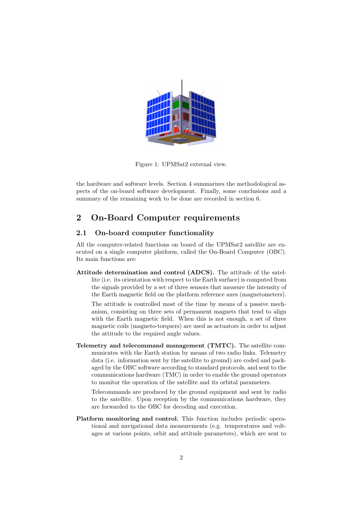

Figure 1: UPMSat2 external view.

the hardware and software levels. Section 4 summarizes the methodological aspects of the on-board software development. Finally, some conclusions and a summary of the remaining work to be done are recorded in section 6.

## 2 On-Board Computer requirements

#### 2.1 On-board computer functionality

All the computer-related functions on board of the UPMSat2 satellite are executed on a single computer platform, called the On-Board Computer (OBC). Its main functions are:

Attitude determination and control (ADCS). The attitude of the satellite (i.e. its orientation with respect to the Earth surface) is computed from the signals provided by a set of three sensors that measure the intensity of the Earth magnetic field on the platform reference axes (magnetometers).

The attitude is controlled most of the time by means of a passive mechanism, consisting on three sets of permanent magnets that tend to align with the Earth magnetic field. When this is not enough, a set of three magnetic coils (magneto-torquers) are used as actuators in order to adjust the attitude to the required angle values.

Telemetry and telecommand management (TMTC). The satellite communicates with the Earth station by means of two radio links. Telemetry data (i.e. information sent by the satellite to ground) are coded and packaged by the OBC software according to standard protocols, and sent to the communications hardware (TMC) in order to enable the ground operators to monitor the operation of the satellite and its orbital parameters.

Telecommands are produced by the ground equipment and sent by radio to the satellite. Upon reception by the communications hardware, they are forwarded to the OBC for decoding and execution.

Platform monitoring and control. This function includes periodic operational and navigational data measurements (e.g. temperatures and voltages at various points, orbit and attitude parameters), which are sent to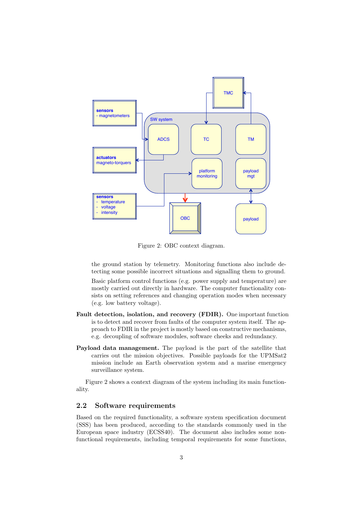

Figure 2: OBC context diagram.

the ground station by telemetry. Monitoring functions also include detecting some possible incorrect situations and signalling them to ground.

Basic platform control functions (e.g. power supply and temperature) are mostly carried out directly in hardware. The computer functionality consists on setting references and changing operation modes when necessary (e.g. low battery voltage).

- Fault detection, isolation, and recovery (FDIR). One important function is to detect and recover from faults of the computer system itself. The approach to FDIR in the project is mostly based on constructive mechanisms, e.g. decoupling of software modules, software cheeks and redundancy.
- Payload data management. The payload is the part of the satellite that carries out the mission objectives. Possible payloads for the UPMSat2 mission include an Earth observation system and a marine emergency surveillance system.

Figure 2 shows a context diagram of the system including its main functionality.

#### 2.2 Software requirements

Based on the required functionality, a software system specification document (SSS) has been produced, according to the standards commonly used in the European space industry (ECSS40). The document also includes some nonfunctional requirements, including temporal requirements for some functions,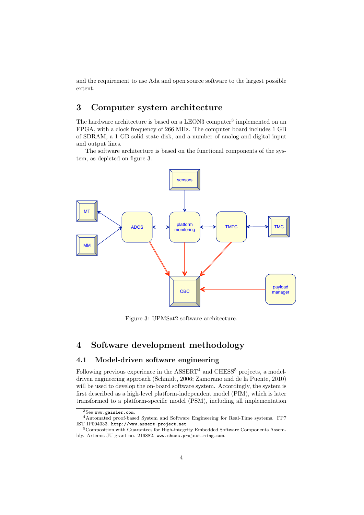and the requirement to use Ada and open source software to the largest possible extent.

## 3 Computer system architecture

The hardware architecture is based on a LEON3 computer<sup>3</sup> implemented on an FPGA, with a clock frequency of 266 MHz. The computer board includes 1 GB of SDRAM, a 1 GB solid state disk, and a number of analog and digital input and output lines.

The software architecture is based on the functional components of the system, as depicted on figure 3.



Figure 3: UPMSat2 software architecture.

### 4 Software development methodology

#### 4.1 Model-driven software engineering

Following previous experience in the  $\text{ASSERT}^4$  and  $\text{CHESS}^5$  projects, a modeldriven engineering approach (Schmidt, 2006; Zamorano and de la Puente, 2010) will be used to develop the on-board software system. Accordingly, the system is first described as a high-level platform-independent model (PIM), which is later transformed to a platform-specific model (PSM), including all implementation

<sup>3</sup>See www.gaisler.com.

<sup>4</sup>Automated proof-based System and Software Engineering for Real-Time systems. FP7 IST IP004033. http://www.assert-project.net

<sup>5</sup>Composition with Guarantees for High-integrity Embedded Software Components Assembly. Artemis JU grant no. 216882. www.chess.project.ning.com.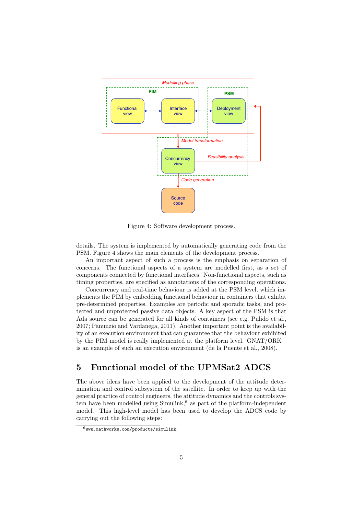

Figure 4: Software development process.

details. The system is implemented by automatically generating code from the PSM. Figure 4 shows the main elements of the development process.

An important aspect of such a process is the emphasis on separation of concerns. The functional aspects of a system are modelled first, as a set of components connected by functional interfaces. Non-functional aspects, such as timing properties, are specified as annotations of the corresponding operations.

Concurrency and real-time behaviour is added at the PSM level, which implements the PIM by embedding functional behaviour in containers that exhibit pre-determined properties. Examples are periodic and sporadic tasks, and protected and unprotected passive data objects. A key aspect of the PSM is that Ada source can be generated for all kinds of containers (see e.g. Pulido et al., 2007; Panunzio and Vardanega, 2011). Another important point is the availability of an execution environment that can guarantee that the behaviour exhibited by the PIM model is really implemented at the platform level. GNAT/ORK+ is an example of such an execution environment (de la Puente et al., 2008).

## 5 Functional model of the UPMSat2 ADCS

The above ideas have been applied to the development of the attitude determination and control subsystem of the satellite. In order to keep up with the general practice of control engineers, the attitude dynamics and the controls system have been modelled using  $Simulink<sub>1</sub><sup>6</sup>$  as part of the platform-independent model. This high-level model has been used to develop the ADCS code by carrying out the following steps:

 $^6$ www.mathworks.com/products/simulink.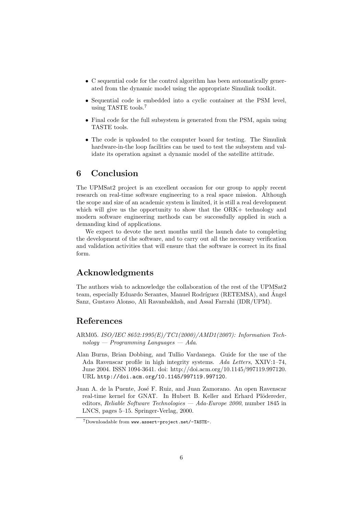- C sequential code for the control algorithm has been automatically generated from the dynamic model using the appropriate Simulink toolkit.
- Sequential code is embedded into a cyclic container at the PSM level, using TASTE tools.<sup>7</sup>
- Final code for the full subsystem is generated from the PSM, again using TASTE tools.
- The code is uploaded to the computer board for testing. The Simulink hardware-in-the loop facilities can be used to test the subsystem and validate its operation against a dynamic model of the satellite attitude.

### 6 Conclusion

The UPMSat2 project is an excellent occasion for our group to apply recent research on real-time software engineering to a real space mission. Although the scope and size of an academic system is limited, it is still a real development which will give us the opportunity to show that the ORK+ technology and modern software engineering methods can be successfully applied in such a demanding kind of applications.

We expect to devote the next months until the launch date to completing the development of the software, and to carry out all the necessary verification and validation activities that will ensure that the software is correct in its final form.

## Acknowledgments

The authors wish to acknowledge the collaboration of the rest of the UPMSat2 team, especially Eduardo Serantes, Manuel Rodríguez (RETEMSA), and Ángel Sanz, Gustavo Alonso, Ali Ravanbakhsh, and Assal Farrahi (IDR/UPM).

## References

- ARM05. ISO/IEC 8652:1995(E)/TC1(2000)/AMD1(2007): Information Tech $nology - Programming Languages - Ada$ .
- Alan Burns, Brian Dobbing, and Tullio Vardanega. Guide for the use of the Ada Ravenscar profile in high integrity systems. Ada Letters, XXIV:1–74, June 2004. ISSN 1094-3641. doi: http://doi.acm.org/10.1145/997119.997120. URL http://doi.acm.org/10.1145/997119.997120.
- Juan A. de la Puente, José F. Ruiz, and Juan Zamorano. An open Ravenscar real-time kernel for GNAT. In Hubert B. Keller and Erhard Plödereder, editors, Reliable Software Technologies — Ada-Europe 2000, number 1845 in LNCS, pages 5–15. Springer-Verlag, 2000.

<sup>7</sup>Downloadable from www.assert-project.net/-TASTE-.